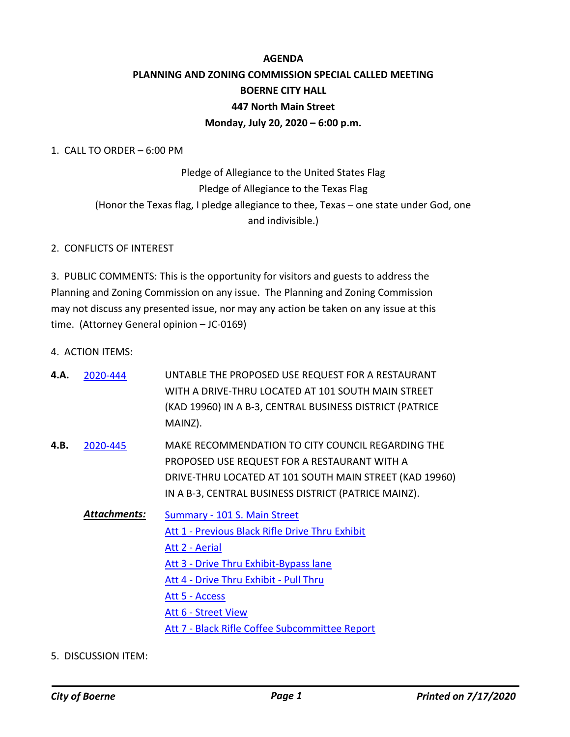## **AGENDA PLANNING AND ZONING COMMISSION SPECIAL CALLED MEETING BOERNE CITY HALL 447 North Main Street Monday, July 20, 2020 – 6:00 p.m.**

1. CALL TO ORDER – 6:00 PM

Pledge of Allegiance to the United States Flag Pledge of Allegiance to the Texas Flag (Honor the Texas flag, I pledge allegiance to thee, Texas – one state under God, one and indivisible.)

## 2. CONFLICTS OF INTEREST

3. PUBLIC COMMENTS: This is the opportunity for visitors and guests to address the Planning and Zoning Commission on any issue. The Planning and Zoning Commission may not discuss any presented issue, nor may any action be taken on any issue at this time. (Attorney General opinion – JC-0169)

4. ACTION ITEMS:

| 2020-444            | UNTABLE THE PROPOSED USE REQUEST FOR A RESTAURANT<br>WITH A DRIVE-THRU LOCATED AT 101 SOUTH MAIN STREET                                                                                                                                                                                 |
|---------------------|-----------------------------------------------------------------------------------------------------------------------------------------------------------------------------------------------------------------------------------------------------------------------------------------|
|                     | (KAD 19960) IN A B-3, CENTRAL BUSINESS DISTRICT (PATRICE<br>MAINZ).                                                                                                                                                                                                                     |
| 2020-445            | MAKE RECOMMENDATION TO CITY COUNCIL REGARDING THE<br>PROPOSED USE REQUEST FOR A RESTAURANT WITH A<br>DRIVE-THRU LOCATED AT 101 SOUTH MAIN STREET (KAD 19960)<br>IN A B-3, CENTRAL BUSINESS DISTRICT (PATRICE MAINZ).                                                                    |
| <b>Attachments:</b> | <b>Summary - 101 S. Main Street</b><br>Att 1 - Previous Black Rifle Drive Thru Exhibit<br>Att 2 - Aerial<br>Att 3 - Drive Thru Exhibit-Bypass lane<br>Att 4 - Drive Thru Exhibit - Pull Thru<br>Att 5 - Access<br>Att 6 - Street View<br>Att 7 - Black Rifle Coffee Subcommittee Report |
|                     |                                                                                                                                                                                                                                                                                         |

5. DISCUSSION ITEM: